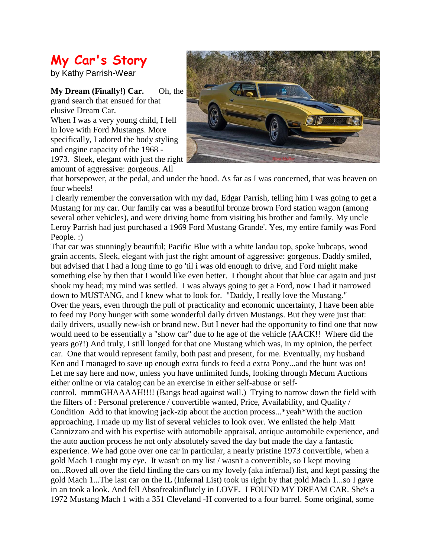## **My Car's Story**

by Kathy Parrish-Wear

**My Dream (Finally!) Car.** Oh, the grand search that ensued for that elusive Dream Car.

When I was a very young child, I fell in love with Ford Mustangs. More specifically, I adored the body styling and engine capacity of the 1968 - 1973. Sleek, elegant with just the right amount of aggressive: gorgeous. All



that horsepower, at the pedal, and under the hood. As far as I was concerned, that was heaven on four wheels!

I clearly remember the conversation with my dad, Edgar Parrish, telling him I was going to get a Mustang for my car. Our family car was a beautiful bronze brown Ford station wagon (among several other vehicles), and were driving home from visiting his brother and family. My uncle Leroy Parrish had just purchased a 1969 Ford Mustang Grande'. Yes, my entire family was Ford People. :)

That car was stunningly beautiful; Pacific Blue with a white landau top, spoke hubcaps, wood grain accents, Sleek, elegant with just the right amount of aggressive: gorgeous. Daddy smiled, but advised that I had a long time to go 'til i was old enough to drive, and Ford might make something else by then that I would like even better. I thought about that blue car again and just shook my head; my mind was settled. I was always going to get a Ford, now I had it narrowed down to MUSTANG, and I knew what to look for. "Daddy, I really love the Mustang." Over the years, even through the pull of practicality and economic uncertainty, I have been able to feed my Pony hunger with some wonderful daily driven Mustangs. But they were just that: daily drivers, usually new-ish or brand new. But I never had the opportunity to find one that now would need to be essentially a "show car" due to he age of the vehicle (AACK!! Where did the years go?!) And truly, I still longed for that one Mustang which was, in my opinion, the perfect car. One that would represent family, both past and present, for me. Eventually, my husband Ken and I managed to save up enough extra funds to feed a extra Pony...and the hunt was on! Let me say here and now, unless you have unlimited funds, looking through Mecum Auctions either online or via catalog can be an exercise in either self-abuse or self-

control. mmmGHAAAAH!!!! (Bangs head against wall.) Trying to narrow down the field with the filters of : Personal preference / convertible wanted, Price, Availability, and Quality / Condition Add to that knowing jack-zip about the auction process...\*yeah\*With the auction approaching, I made up my list of several vehicles to look over. We enlisted the help Matt Cannizzaro and with his expertise with automobile appraisal, antique automobile experience, and the auto auction process he not only absolutely saved the day but made the day a fantastic experience. We had gone over one car in particular, a nearly pristine 1973 convertible, when a gold Mach 1 caught my eye. It wasn't on my list / wasn't a convertible, so I kept moving on...Roved all over the field finding the cars on my lovely (aka infernal) list, and kept passing the gold Mach 1...The last car on the IL (Infernal List) took us right by that gold Mach 1...so I gave in an took a look. And fell Absofreakinflutely in LOVE. I FOUND MY DREAM CAR. She's a 1972 Mustang Mach 1 with a 351 Cleveland -H converted to a four barrel. Some original, some